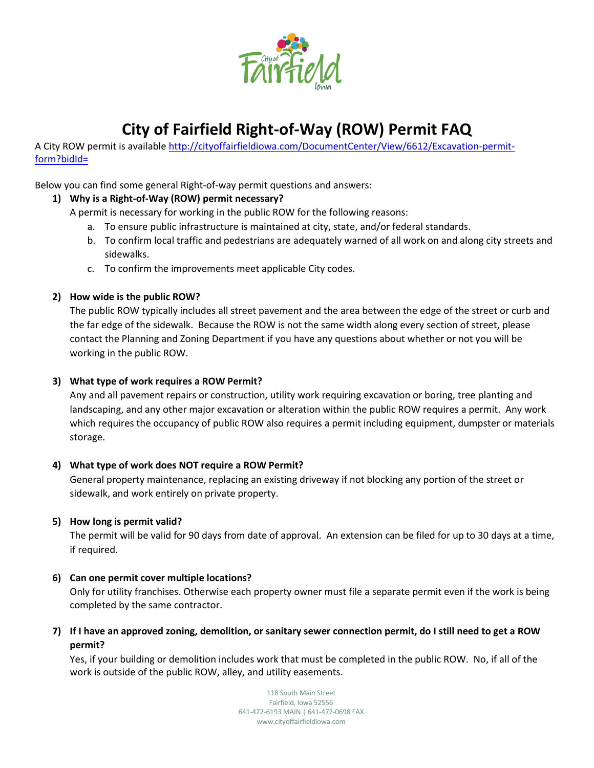

# **City of Fairfield Right-of-Way (ROW) Permit FAQ**

A City ROW permit is available [http://cityoffairfieldiowa.com/DocumentCenter/View/6612/Excavation-permit](http://cityoffairfieldiowa.com/DocumentCenter/View/6612/Excavation-permit-form?bidId=)[form?bidId=](http://cityoffairfieldiowa.com/DocumentCenter/View/6612/Excavation-permit-form?bidId=)

Below you can find some general Right-of-way permit questions and answers:

# **1) Why is a Right-of-Way (ROW) permit necessary?**

A permit is necessary for working in the public ROW for the following reasons:

- a. To ensure public infrastructure is maintained at city, state, and/or federal standards.
- b. To confirm local traffic and pedestrians are adequately warned of all work on and along city streets and sidewalks.
- c. To confirm the improvements meet applicable City codes.

### **2) How wide is the public ROW?**

The public ROW typically includes all street pavement and the area between the edge of the street or curb and the far edge of the sidewalk. Because the ROW is not the same width along every section of street, please contact the Planning and Zoning Department if you have any questions about whether or not you will be working in the public ROW.

## **3) What type of work requires a ROW Permit?**

Any and all pavement repairs or construction, utility work requiring excavation or boring, tree planting and landscaping, and any other major excavation or alteration within the public ROW requires a permit. Any work which requires the occupancy of public ROW also requires a permit including equipment, dumpster or materials storage.

#### **4) What type of work does NOT require a ROW Permit?**

General property maintenance, replacing an existing driveway if not blocking any portion of the street or sidewalk, and work entirely on private property.

#### **5) How long is permit valid?**

The permit will be valid for 90 days from date of approval. An extension can be filed for up to 30 days at a time, if required.

#### **6) Can one permit cover multiple locations?**

Only for utility franchises. Otherwise each property owner must file a separate permit even if the work is being completed by the same contractor.

# **7) If I have an approved zoning, demolition, or sanitary sewer connection permit, do I still need to get a ROW permit?**

Yes, if your building or demolition includes work that must be completed in the public ROW. No, if all of the work is outside of the public ROW, alley, and utility easements.

> 118 South Main Street Fairfield, Iowa 52556 641-472-6193 MAIN | 641-472-0698 FAX www.cityoffairfieldiowa.com